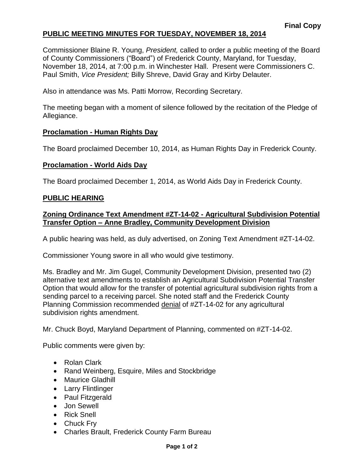# **PUBLIC MEETING MINUTES FOR TUESDAY, NOVEMBER 18, 2014**

Commissioner Blaine R. Young, *President,* called to order a public meeting of the Board of County Commissioners ("Board") of Frederick County, Maryland, for Tuesday, November 18, 2014, at 7:00 p.m. in Winchester Hall. Present were Commissioners C. Paul Smith, *Vice President;* Billy Shreve, David Gray and Kirby Delauter.

Also in attendance was Ms. Patti Morrow, Recording Secretary.

The meeting began with a moment of silence followed by the recitation of the Pledge of Allegiance.

### **Proclamation - Human Rights Day**

The Board proclaimed December 10, 2014, as Human Rights Day in Frederick County.

### **Proclamation - World Aids Day**

The Board proclaimed December 1, 2014, as World Aids Day in Frederick County.

#### **PUBLIC HEARING**

## **Zoning Ordinance Text Amendment #ZT-14-02 - Agricultural Subdivision Potential Transfer Option – Anne Bradley, Community Development Division**

A public hearing was held, as duly advertised, on Zoning Text Amendment #ZT-14-02.

Commissioner Young swore in all who would give testimony.

Ms. Bradley and Mr. Jim Gugel, Community Development Division, presented two (2) alternative text amendments to establish an Agricultural Subdivision Potential Transfer Option that would allow for the transfer of potential agricultural subdivision rights from a sending parcel to a receiving parcel. She noted staff and the Frederick County Planning Commission recommended denial of #ZT-14-02 for any agricultural subdivision rights amendment.

Mr. Chuck Boyd, Maryland Department of Planning, commented on #ZT-14-02.

Public comments were given by:

- Rolan Clark
- Rand Weinberg, Esquire, Miles and Stockbridge
- Maurice Gladhill
- Larry Flintlinger
- Paul Fitzgerald
- Jon Sewell
- Rick Snell
- Chuck Fry
- Charles Brault, Frederick County Farm Bureau